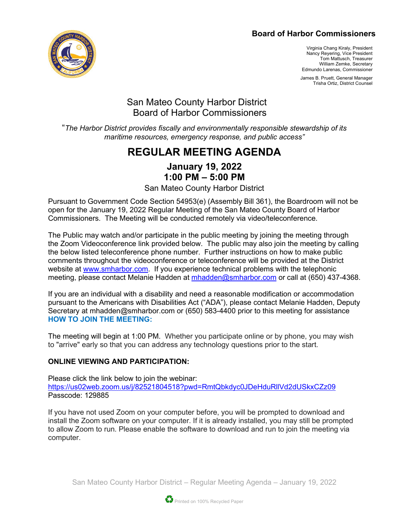### **Board of Harbor Commissioners**



Virginia Chang Kiraly, President Nancy Reyering, Vice President Tom Mattusch, Treasurer William Zemke, Secretary Edmundo Larenas, Commissioner

James B. Pruett, General Manager Trisha Ortiz, District Counsel

## San Mateo County Harbor District Board of Harbor Commissioners

"*The Harbor District provides fiscally and environmentally responsible stewardship of its maritime resources, emergency response, and public access"*

# **REGULAR MEETING AGENDA**

## **January 19, 2022 1:00 PM – 5:00 PM**

San Mateo County Harbor District

Pursuant to Government Code Section 54953(e) (Assembly Bill 361), the Boardroom will not be open for the January 19, 2022 Regular Meeting of the San Mateo County Board of Harbor Commissioners. The Meeting will be conducted remotely via video/teleconference.

The Public may watch and/or participate in the public meeting by joining the meeting through the Zoom Videoconference link provided below. The public may also join the meeting by calling the below listed teleconference phone number. Further instructions on how to make public comments throughout the videoconference or teleconference will be provided at the District website at [www.smharbor.com.](http://www.smharbor.com/) If you experience technical problems with the telephonic meeting, please contact Melanie Hadden at [mhadden@smharbor.com](mailto:mhadden@smharbor.com) or call at (650) 437-4368.

If you are an individual with a disability and need a reasonable modification or accommodation pursuant to the Americans with Disabilities Act ("ADA"), please contact Melanie Hadden, Deputy Secretary at mhadden@smharbor.com or (650) 583-4400 prior to this meeting for assistance **HOW TO JOIN THE MEETING:**

The meeting will begin at 1:00 PM. Whether you participate online or by phone, you may wish to "arrive" early so that you can address any technology questions prior to the start.

### **ONLINE VIEWING AND PARTICIPATION:**

Please click the link below to join the webinar: <https://us02web.zoom.us/j/82521804518?pwd=RmtQbkdyc0JDeHduRllVd2dUSkxCZz09> Passcode: 129885

If you have not used Zoom on your computer before, you will be prompted to download and install the Zoom software on your computer. If it is already installed, you may still be prompted to allow Zoom to run. Please enable the software to download and run to join the meeting via computer.

San Mateo County Harbor District – Regular Meeting Agenda – January 19, 2022

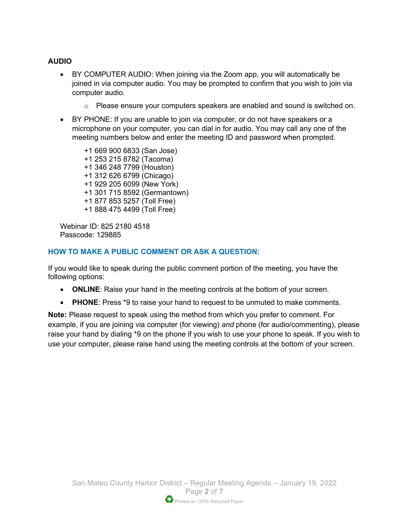#### **AUDIO**

- BY COMPUTER AUDIO: When joining via the Zoom app, you will automatically be joined in via computer audio. You may be prompted to confirm that you wish to join via computer audio.
	- $\circ$  Please ensure your computers speakers are enabled and sound is switched on.
- BY PHONE: If you are unable to join via computer, or do not have speakers or a microphone on your computer, you can dial in for audio. You may call any one of the meeting numbers below and enter the meeting ID and password when prompted.

+1 669 900 6833 (San Jose) +1 253 215 8782 (Tacoma) +1 346 248 7799 (Houston) +1 312 626 6799 (Chicago) +1 929 205 6099 (New York) +1 301 715 8592 (Germantown) +1 877 853 5257 (Toll Free) +1 888 475 4499 (Toll Free)

Webinar ID: 825 2180 4518 Passcode: 129885

#### **HOW TO MAKE A PUBLIC COMMENT OR ASK A QUESTION:**

If you would like to speak during the public comment portion of the meeting, you have the following options:

- **ONLINE**: Raise your hand in the meeting controls at the bottom of your screen.
- **PHONE**: Press \*9 to raise your hand to request to be unmuted to make comments.

**Note:** Please request to speak using the method from which you prefer to comment. For example, if you are joining via computer (for viewing) *and* phone (for audio/commenting), please raise your hand by dialing \*9 on the phone if you wish to use your phone to speak. If you wish to use your computer, please raise hand using the meeting controls at the bottom of your screen.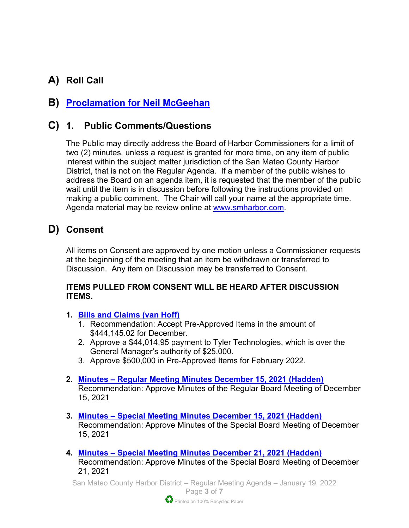# **A) Roll Call**

# **B) [Proclamation for Neil McGeehan](https://www.smharbor.com/files/64346ef3d/2022_01_19_Staff_Recognition+Proclamation+for+Neal+McGeehan+with+Frame.pdf)**

## **C) 1. Public Comments/Questions**

The Public may directly address the Board of Harbor Commissioners for a limit of two (2) minutes, unless a request is granted for more time, on any item of public interest within the subject matter jurisdiction of the San Mateo County Harbor District, that is not on the Regular Agenda. If a member of the public wishes to address the Board on an agenda item, it is requested that the member of the public wait until the item is in discussion before following the instructions provided on making a public comment. The Chair will call your name at the appropriate time. Agenda material may be review online at [www.smharbor.com.](http://www.smharbor.com/)

## **D) Consent**

All items on Consent are approved by one motion unless a Commissioner requests at the beginning of the meeting that an item be withdrawn or transferred to Discussion. Any item on Discussion may be transferred to Consent.

#### **ITEMS PULLED FROM CONSENT WILL BE HEARD AFTER DISCUSSION ITEMS.**

- **1. [Bills and Claims \(van Hoff\)](https://www.smharbor.com/files/69527022b/2022_01_19_Item_1_Bills+and+Claims_Staff+Report.pdf)**
	- 1. Recommendation: Accept Pre-Approved Items in the amount of \$444,145.02 for December.
	- 2. Approve a \$44,014.95 payment to Tyler Technologies, which is over the General Manager's authority of \$25,000.
	- 3. Approve \$500,000 in Pre-Approved Items for February 2022.
- **2. Minutes – Regular Meeting Minutes [December 15, 2021 \(Hadden\)](https://www.smharbor.com/files/99519feb6/2022_01_19_Item_2_Regular+Meeting+Minutes+2021+12+15.pdf)** Recommendation: Approve Minutes of the Regular Board Meeting of December 15, 2021
- **3. Minutes – [Special Meeting Minutes December 15, 2021 \(Hadden\)](https://www.smharbor.com/files/7173f37de/2022_01_19_Item_3_Special+Meeting+Minutes+2021+12+15.pdf)** Recommendation: Approve Minutes of the Special Board Meeting of December 15, 2021
- **4. Minutes – [Special Meeting Minutes December 21, 2021 \(Hadden\)](https://www.smharbor.com/files/1e943e6ab/2022_01_19_Item_4_Special+Meeting+Minutes+2021+12+21.pdf)** Recommendation: Approve Minutes of the Special Board Meeting of December 21, 2021

San Mateo County Harbor District – Regular Meeting Agenda – January 19, 2022 Page **3** of **7**

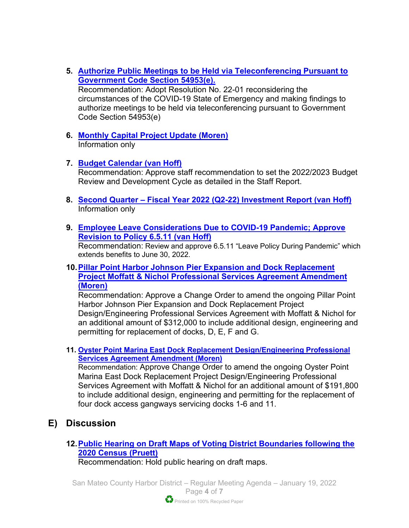- **5. [Authorize Public Meetings to be Held via Teleconferencing Pursuant to](https://www.smharbor.com/files/3f75f2e0d/2022_01_19_Item_5_Resolution+22-01+Covid+-+19+State+of+Emergency+Findings.pdf)  [Government Code Section 54953\(e\).](https://www.smharbor.com/files/3f75f2e0d/2022_01_19_Item_5_Resolution+22-01+Covid+-+19+State+of+Emergency+Findings.pdf)**  Recommendation: Adopt Resolution No. 22-01 reconsidering the circumstances of the COVID-19 State of Emergency and making findings to authorize meetings to be held via teleconferencing pursuant to Government Code Section 54953(e)
- **6. [Monthly Capital Project Update \(Moren\)](https://www.smharbor.com/files/e67612175/2022_01_19_Item_6_Monthly_Capital_Project_Update_Staff+Report.pdf)** Information only
- **7. [Budget Calendar](https://www.smharbor.com/files/6d9a1c6a4/2022_01_19_Item_7_Budget_Calendar_Staff_Report.pdf) (van Hoff)** Recommendation: Approve staff recommendation to set the 2022/2023 Budget Review and Development Cycle as detailed in the Staff Report.
- **8. Second Quarter – Fiscal Year 2022 [\(Q2-22\) Investment Report](https://www.smharbor.com/files/92ce0ff24/2022_01_19_Item_8_Q2-22+Investment+Report+Staff+Report.pdf) (van Hoff)** Information only
- **9. [Employee Leave Considerations Due to COVID-19 Pandemic; Approve](https://www.smharbor.com/files/769808349/2022_01_19_Item_9_Amend_Leave_Policy_During_Pandemic_Pol_+6.5.11_Staff_Report.pdf)  [Revision to Policy 6.5.11](https://www.smharbor.com/files/769808349/2022_01_19_Item_9_Amend_Leave_Policy_During_Pandemic_Pol_+6.5.11_Staff_Report.pdf) (van Hoff)**

Recommendation: Review and approve 6.5.11 "Leave Policy During Pandemic" which extends benefits to June 30, 2022.

#### **10[.Pillar Point Harbor Johnson Pier Expansion and Dock Replacement](https://www.smharbor.com/files/5947e1967/2022_01_19_Item_10_+PPH+Johnson+Pier+Expansion+and+Dock+Replacement+Project+Staff+Report.pdf)  [Project Moffatt & Nichol Professional Services Agreement Amendment](https://www.smharbor.com/files/5947e1967/2022_01_19_Item_10_+PPH+Johnson+Pier+Expansion+and+Dock+Replacement+Project+Staff+Report.pdf)  [\(Moren\)](https://www.smharbor.com/files/5947e1967/2022_01_19_Item_10_+PPH+Johnson+Pier+Expansion+and+Dock+Replacement+Project+Staff+Report.pdf)**

Recommendation: Approve a Change Order to amend the ongoing Pillar Point Harbor Johnson Pier Expansion and Dock Replacement Project Design/Engineering Professional Services Agreement with Moffatt & Nichol for an additional amount of \$312,000 to include additional design, engineering and permitting for replacement of docks, D, E, F and G.

**11. [Oyster Point Marina East Dock Replacement Design/Engineering Professional](https://www.smharbor.com/files/3ab038d06/2022_01_19_Item_11_OPM+East+Dock+D%26E+PSA+Amendment+Staff+Report.pdf)  [Services Agreement Amendment \(Moren\)](https://www.smharbor.com/files/3ab038d06/2022_01_19_Item_11_OPM+East+Dock+D%26E+PSA+Amendment+Staff+Report.pdf)** 

Recommendation: Approve Change Order to amend the ongoing Oyster Point Marina East Dock Replacement Project Design/Engineering Professional Services Agreement with Moffatt & Nichol for an additional amount of \$191,800 to include additional design, engineering and permitting for the replacement of four dock access gangways servicing docks 1-6 and 11.

## **E) Discussion**

**12[.Public Hearing on Draft Maps of Voting District Boundaries following the](https://www.smharbor.com/files/628e81c6e/2022_01_19_Item_12__Districted_Elections_Staff+Report.pdf)  [2020 Census \(Pruett\)](https://www.smharbor.com/files/628e81c6e/2022_01_19_Item_12__Districted_Elections_Staff+Report.pdf)** 

Recommendation: Hold public hearing on draft maps.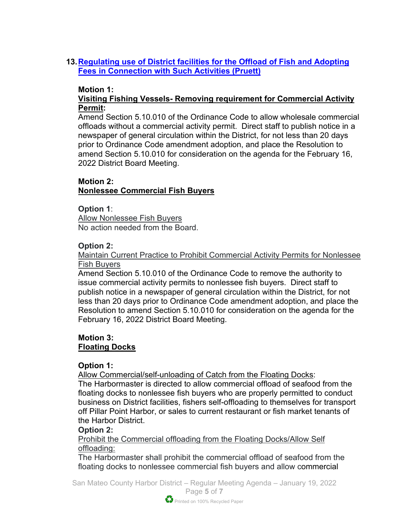## **13[.Regulating use of District facilities for the Offload of Fish and Adopting](https://www.smharbor.com/files/a9a5c53ab/2022_01_19_Item_13_Wholesale+fish+offload+staff+report+%28RWG+comments%29.pdf)  [Fees in Connection with Such Activities \(Pruett\)](https://www.smharbor.com/files/a9a5c53ab/2022_01_19_Item_13_Wholesale+fish+offload+staff+report+%28RWG+comments%29.pdf)**

### **Motion 1:**

### **Visiting Fishing Vessels- Removing requirement for Commercial Activity Permit:**

Amend Section 5.10.010 of the Ordinance Code to allow wholesale commercial offloads without a commercial activity permit. Direct staff to publish notice in a newspaper of general circulation within the District, for not less than 20 days prior to Ordinance Code amendment adoption, and place the Resolution to amend Section 5.10.010 for consideration on the agenda for the February 16, 2022 District Board Meeting.

## **Motion 2:**

### **Nonlessee Commercial Fish Buyers**

#### **Option 1**:

Allow Nonlessee Fish Buyers No action needed from the Board.

#### **Option 2:**

Maintain Current Practice to Prohibit Commercial Activity Permits for Nonlessee Fish Buyers

Amend Section 5.10.010 of the Ordinance Code to remove the authority to issue commercial activity permits to nonlessee fish buyers. Direct staff to publish notice in a newspaper of general circulation within the District, for not less than 20 days prior to Ordinance Code amendment adoption, and place the Resolution to amend Section 5.10.010 for consideration on the agenda for the February 16, 2022 District Board Meeting.

#### **Motion 3: Floating Docks**

### **Option 1:**

Allow Commercial/self-unloading of Catch from the Floating Docks:

The Harbormaster is directed to allow commercial offload of seafood from the floating docks to nonlessee fish buyers who are properly permitted to conduct business on District facilities, fishers self-offloading to themselves for transport off Pillar Point Harbor, or sales to current restaurant or fish market tenants of the Harbor District.

#### **Option 2:**

Prohibit the Commercial offloading from the Floating Docks/Allow Self offloading:

The Harbormaster shall prohibit the commercial offload of seafood from the floating docks to nonlessee commercial fish buyers and allow commercial

San Mateo County Harbor District – Regular Meeting Agenda – January 19, 2022 Page **5** of **7**

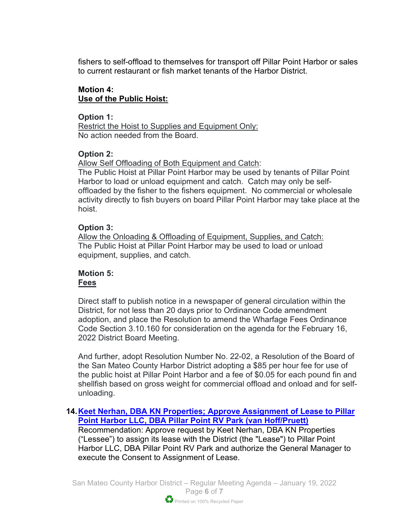fishers to self-offload to themselves for transport off Pillar Point Harbor or sales to current restaurant or fish market tenants of the Harbor District.

## **Motion 4: Use of the Public Hoist:**

#### **Option 1:**

Restrict the Hoist to Supplies and Equipment Only: No action needed from the Board.

## **Option 2:**

Allow Self Offloading of Both Equipment and Catch:

The Public Hoist at Pillar Point Harbor may be used by tenants of Pillar Point Harbor to load or unload equipment and catch. Catch may only be selfoffloaded by the fisher to the fishers equipment. No commercial or wholesale activity directly to fish buyers on board Pillar Point Harbor may take place at the hoist.

## **Option 3:**

Allow the Onloading & Offloading of Equipment, Supplies, and Catch: The Public Hoist at Pillar Point Harbor may be used to load or unload equipment, supplies, and catch.

### **Motion 5: Fees**

Direct staff to publish notice in a newspaper of general circulation within the District, for not less than 20 days prior to Ordinance Code amendment adoption, and place the Resolution to amend the Wharfage Fees Ordinance Code Section 3.10.160 for consideration on the agenda for the February 16, 2022 District Board Meeting.

And further, adopt Resolution Number No. 22-02, a Resolution of the Board of the San Mateo County Harbor District adopting a \$85 per hour fee for use of the public hoist at Pillar Point Harbor and a fee of \$0.05 for each pound fin and shellfish based on gross weight for commercial offload and onload and for selfunloading.

**14[.Keet Nerhan, DBA KN Properties; Approve Assignment of Lease to Pillar](https://www.smharbor.com/files/5263e6bd2/2022_01_19_Item_14_Pillar+Point+RV+Park+Lease_Reassignment_Staff_Report.pdf)  [Point Harbor LLC, DBA Pillar Point RV Park \(van Hoff/Pruett\)](https://www.smharbor.com/files/5263e6bd2/2022_01_19_Item_14_Pillar+Point+RV+Park+Lease_Reassignment_Staff_Report.pdf)**

Recommendation: Approve request by Keet Nerhan, DBA KN Properties ("Lessee") to assign its lease with the District (the "Lease") to Pillar Point Harbor LLC, DBA Pillar Point RV Park and authorize the General Manager to execute the Consent to Assignment of Lease.